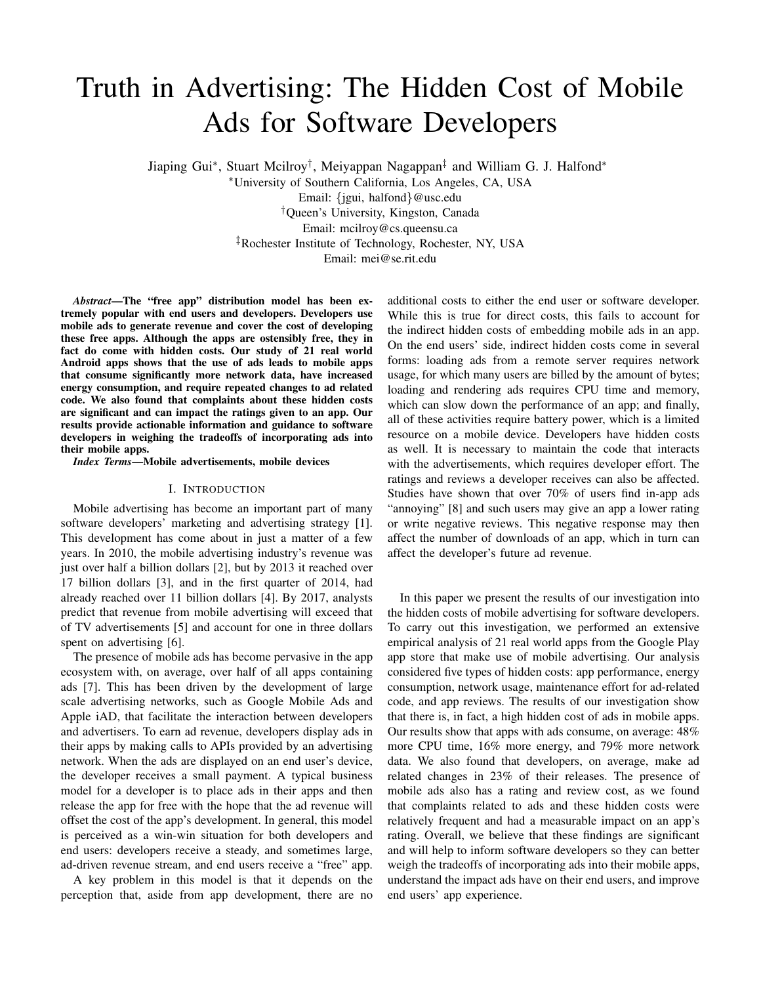# Truth in Advertising: The Hidden Cost of Mobile Ads for Software Developers

Jiaping Gui<sup>∗</sup> , Stuart Mcilroy† , Meiyappan Nagappan‡ and William G. J. Halfond<sup>∗</sup>

<sup>∗</sup>University of Southern California, Los Angeles, CA, USA Email: {jgui, halfond}@usc.edu †Queen's University, Kingston, Canada Email: mcilroy@cs.queensu.ca ‡Rochester Institute of Technology, Rochester, NY, USA

Email: mei@se.rit.edu

*Abstract*—The "free app" distribution model has been extremely popular with end users and developers. Developers use mobile ads to generate revenue and cover the cost of developing these free apps. Although the apps are ostensibly free, they in fact do come with hidden costs. Our study of 21 real world Android apps shows that the use of ads leads to mobile apps that consume significantly more network data, have increased energy consumption, and require repeated changes to ad related code. We also found that complaints about these hidden costs are significant and can impact the ratings given to an app. Our results provide actionable information and guidance to software developers in weighing the tradeoffs of incorporating ads into their mobile apps.

*Index Terms*—Mobile advertisements, mobile devices

#### I. INTRODUCTION

Mobile advertising has become an important part of many software developers' marketing and advertising strategy [1]. This development has come about in just a matter of a few years. In 2010, the mobile advertising industry's revenue was just over half a billion dollars [2], but by 2013 it reached over 17 billion dollars [3], and in the first quarter of 2014, had already reached over 11 billion dollars [4]. By 2017, analysts predict that revenue from mobile advertising will exceed that of TV advertisements [5] and account for one in three dollars spent on advertising [6].

The presence of mobile ads has become pervasive in the app ecosystem with, on average, over half of all apps containing ads [7]. This has been driven by the development of large scale advertising networks, such as Google Mobile Ads and Apple iAD, that facilitate the interaction between developers and advertisers. To earn ad revenue, developers display ads in their apps by making calls to APIs provided by an advertising network. When the ads are displayed on an end user's device, the developer receives a small payment. A typical business model for a developer is to place ads in their apps and then release the app for free with the hope that the ad revenue will offset the cost of the app's development. In general, this model is perceived as a win-win situation for both developers and end users: developers receive a steady, and sometimes large, ad-driven revenue stream, and end users receive a "free" app.

A key problem in this model is that it depends on the perception that, aside from app development, there are no additional costs to either the end user or software developer. While this is true for direct costs, this fails to account for the indirect hidden costs of embedding mobile ads in an app. On the end users' side, indirect hidden costs come in several forms: loading ads from a remote server requires network usage, for which many users are billed by the amount of bytes; loading and rendering ads requires CPU time and memory, which can slow down the performance of an app; and finally, all of these activities require battery power, which is a limited resource on a mobile device. Developers have hidden costs as well. It is necessary to maintain the code that interacts with the advertisements, which requires developer effort. The ratings and reviews a developer receives can also be affected. Studies have shown that over 70% of users find in-app ads "annoying" [8] and such users may give an app a lower rating or write negative reviews. This negative response may then affect the number of downloads of an app, which in turn can affect the developer's future ad revenue.

In this paper we present the results of our investigation into the hidden costs of mobile advertising for software developers. To carry out this investigation, we performed an extensive empirical analysis of 21 real world apps from the Google Play app store that make use of mobile advertising. Our analysis considered five types of hidden costs: app performance, energy consumption, network usage, maintenance effort for ad-related code, and app reviews. The results of our investigation show that there is, in fact, a high hidden cost of ads in mobile apps. Our results show that apps with ads consume, on average: 48% more CPU time, 16% more energy, and 79% more network data. We also found that developers, on average, make ad related changes in 23% of their releases. The presence of mobile ads also has a rating and review cost, as we found that complaints related to ads and these hidden costs were relatively frequent and had a measurable impact on an app's rating. Overall, we believe that these findings are significant and will help to inform software developers so they can better weigh the tradeoffs of incorporating ads into their mobile apps, understand the impact ads have on their end users, and improve end users' app experience.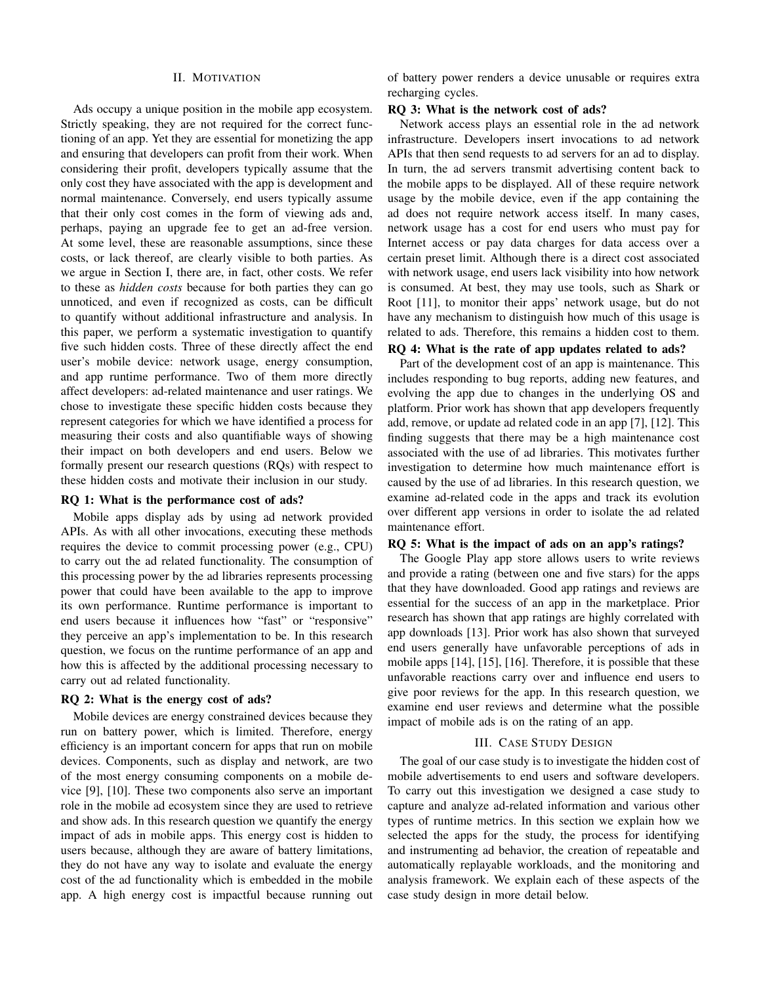## II. MOTIVATION

Ads occupy a unique position in the mobile app ecosystem. Strictly speaking, they are not required for the correct functioning of an app. Yet they are essential for monetizing the app and ensuring that developers can profit from their work. When considering their profit, developers typically assume that the only cost they have associated with the app is development and normal maintenance. Conversely, end users typically assume that their only cost comes in the form of viewing ads and, perhaps, paying an upgrade fee to get an ad-free version. At some level, these are reasonable assumptions, since these costs, or lack thereof, are clearly visible to both parties. As we argue in Section I, there are, in fact, other costs. We refer to these as *hidden costs* because for both parties they can go unnoticed, and even if recognized as costs, can be difficult to quantify without additional infrastructure and analysis. In this paper, we perform a systematic investigation to quantify five such hidden costs. Three of these directly affect the end user's mobile device: network usage, energy consumption, and app runtime performance. Two of them more directly affect developers: ad-related maintenance and user ratings. We chose to investigate these specific hidden costs because they represent categories for which we have identified a process for measuring their costs and also quantifiable ways of showing their impact on both developers and end users. Below we formally present our research questions (RQs) with respect to these hidden costs and motivate their inclusion in our study.

## RQ 1: What is the performance cost of ads?

Mobile apps display ads by using ad network provided APIs. As with all other invocations, executing these methods requires the device to commit processing power (e.g., CPU) to carry out the ad related functionality. The consumption of this processing power by the ad libraries represents processing power that could have been available to the app to improve its own performance. Runtime performance is important to end users because it influences how "fast" or "responsive" they perceive an app's implementation to be. In this research question, we focus on the runtime performance of an app and how this is affected by the additional processing necessary to carry out ad related functionality.

## RQ 2: What is the energy cost of ads?

Mobile devices are energy constrained devices because they run on battery power, which is limited. Therefore, energy efficiency is an important concern for apps that run on mobile devices. Components, such as display and network, are two of the most energy consuming components on a mobile device [9], [10]. These two components also serve an important role in the mobile ad ecosystem since they are used to retrieve and show ads. In this research question we quantify the energy impact of ads in mobile apps. This energy cost is hidden to users because, although they are aware of battery limitations, they do not have any way to isolate and evaluate the energy cost of the ad functionality which is embedded in the mobile app. A high energy cost is impactful because running out

of battery power renders a device unusable or requires extra recharging cycles.

# RQ 3: What is the network cost of ads?

Network access plays an essential role in the ad network infrastructure. Developers insert invocations to ad network APIs that then send requests to ad servers for an ad to display. In turn, the ad servers transmit advertising content back to the mobile apps to be displayed. All of these require network usage by the mobile device, even if the app containing the ad does not require network access itself. In many cases, network usage has a cost for end users who must pay for Internet access or pay data charges for data access over a certain preset limit. Although there is a direct cost associated with network usage, end users lack visibility into how network is consumed. At best, they may use tools, such as Shark or Root [11], to monitor their apps' network usage, but do not have any mechanism to distinguish how much of this usage is related to ads. Therefore, this remains a hidden cost to them.

# RQ 4: What is the rate of app updates related to ads?

Part of the development cost of an app is maintenance. This includes responding to bug reports, adding new features, and evolving the app due to changes in the underlying OS and platform. Prior work has shown that app developers frequently add, remove, or update ad related code in an app [7], [12]. This finding suggests that there may be a high maintenance cost associated with the use of ad libraries. This motivates further investigation to determine how much maintenance effort is caused by the use of ad libraries. In this research question, we examine ad-related code in the apps and track its evolution over different app versions in order to isolate the ad related maintenance effort.

# RQ 5: What is the impact of ads on an app's ratings?

The Google Play app store allows users to write reviews and provide a rating (between one and five stars) for the apps that they have downloaded. Good app ratings and reviews are essential for the success of an app in the marketplace. Prior research has shown that app ratings are highly correlated with app downloads [13]. Prior work has also shown that surveyed end users generally have unfavorable perceptions of ads in mobile apps [14], [15], [16]. Therefore, it is possible that these unfavorable reactions carry over and influence end users to give poor reviews for the app. In this research question, we examine end user reviews and determine what the possible impact of mobile ads is on the rating of an app.

## III. CASE STUDY DESIGN

The goal of our case study is to investigate the hidden cost of mobile advertisements to end users and software developers. To carry out this investigation we designed a case study to capture and analyze ad-related information and various other types of runtime metrics. In this section we explain how we selected the apps for the study, the process for identifying and instrumenting ad behavior, the creation of repeatable and automatically replayable workloads, and the monitoring and analysis framework. We explain each of these aspects of the case study design in more detail below.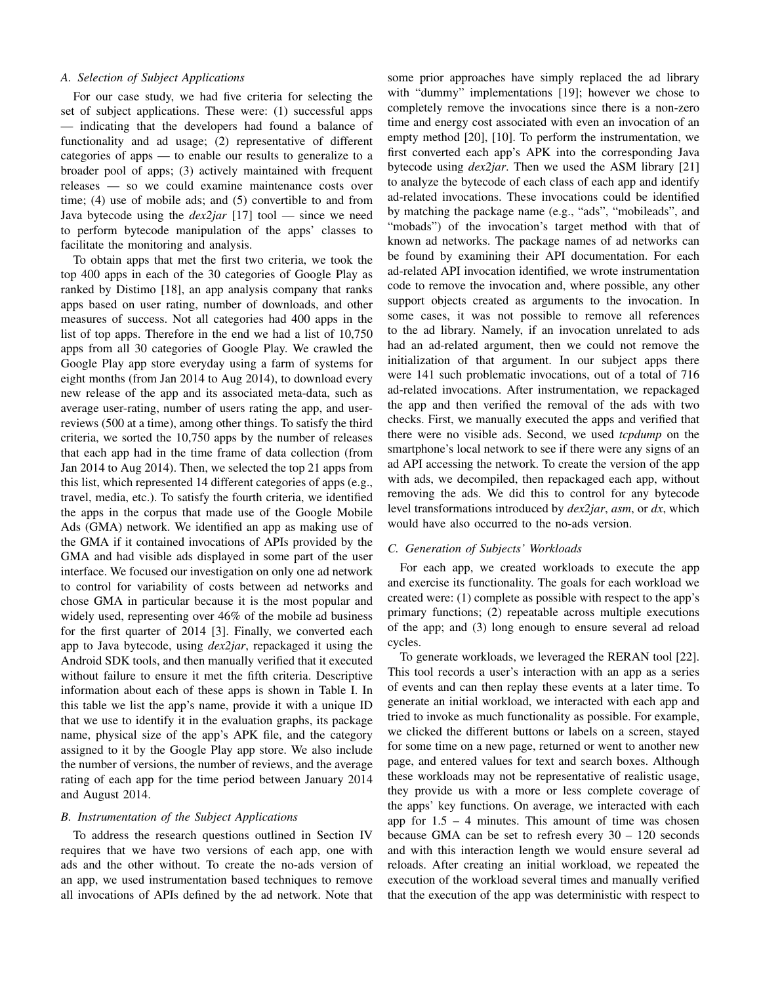## *A. Selection of Subject Applications*

For our case study, we had five criteria for selecting the set of subject applications. These were: (1) successful apps — indicating that the developers had found a balance of functionality and ad usage; (2) representative of different categories of apps — to enable our results to generalize to a broader pool of apps; (3) actively maintained with frequent releases — so we could examine maintenance costs over time; (4) use of mobile ads; and (5) convertible to and from Java bytecode using the *dex2jar* [17] tool — since we need to perform bytecode manipulation of the apps' classes to facilitate the monitoring and analysis.

To obtain apps that met the first two criteria, we took the top 400 apps in each of the 30 categories of Google Play as ranked by Distimo [18], an app analysis company that ranks apps based on user rating, number of downloads, and other measures of success. Not all categories had 400 apps in the list of top apps. Therefore in the end we had a list of 10,750 apps from all 30 categories of Google Play. We crawled the Google Play app store everyday using a farm of systems for eight months (from Jan 2014 to Aug 2014), to download every new release of the app and its associated meta-data, such as average user-rating, number of users rating the app, and userreviews (500 at a time), among other things. To satisfy the third criteria, we sorted the 10,750 apps by the number of releases that each app had in the time frame of data collection (from Jan 2014 to Aug 2014). Then, we selected the top 21 apps from this list, which represented 14 different categories of apps (e.g., travel, media, etc.). To satisfy the fourth criteria, we identified the apps in the corpus that made use of the Google Mobile Ads (GMA) network. We identified an app as making use of the GMA if it contained invocations of APIs provided by the GMA and had visible ads displayed in some part of the user interface. We focused our investigation on only one ad network to control for variability of costs between ad networks and chose GMA in particular because it is the most popular and widely used, representing over 46% of the mobile ad business for the first quarter of 2014 [3]. Finally, we converted each app to Java bytecode, using *dex2jar*, repackaged it using the Android SDK tools, and then manually verified that it executed without failure to ensure it met the fifth criteria. Descriptive information about each of these apps is shown in Table I. In this table we list the app's name, provide it with a unique ID that we use to identify it in the evaluation graphs, its package name, physical size of the app's APK file, and the category assigned to it by the Google Play app store. We also include the number of versions, the number of reviews, and the average rating of each app for the time period between January 2014 and August 2014.

## *B. Instrumentation of the Subject Applications*

To address the research questions outlined in Section IV requires that we have two versions of each app, one with ads and the other without. To create the no-ads version of an app, we used instrumentation based techniques to remove all invocations of APIs defined by the ad network. Note that

some prior approaches have simply replaced the ad library with "dummy" implementations [19]; however we chose to completely remove the invocations since there is a non-zero time and energy cost associated with even an invocation of an empty method [20], [10]. To perform the instrumentation, we first converted each app's APK into the corresponding Java bytecode using *dex2jar*. Then we used the ASM library [21] to analyze the bytecode of each class of each app and identify ad-related invocations. These invocations could be identified by matching the package name (e.g., "ads", "mobileads", and "mobads") of the invocation's target method with that of known ad networks. The package names of ad networks can be found by examining their API documentation. For each ad-related API invocation identified, we wrote instrumentation code to remove the invocation and, where possible, any other support objects created as arguments to the invocation. In some cases, it was not possible to remove all references to the ad library. Namely, if an invocation unrelated to ads had an ad-related argument, then we could not remove the initialization of that argument. In our subject apps there were 141 such problematic invocations, out of a total of 716 ad-related invocations. After instrumentation, we repackaged the app and then verified the removal of the ads with two checks. First, we manually executed the apps and verified that there were no visible ads. Second, we used *tcpdump* on the smartphone's local network to see if there were any signs of an ad API accessing the network. To create the version of the app with ads, we decompiled, then repackaged each app, without removing the ads. We did this to control for any bytecode level transformations introduced by *dex2jar*, *asm*, or *dx*, which would have also occurred to the no-ads version.

# *C. Generation of Subjects' Workloads*

For each app, we created workloads to execute the app and exercise its functionality. The goals for each workload we created were: (1) complete as possible with respect to the app's primary functions; (2) repeatable across multiple executions of the app; and (3) long enough to ensure several ad reload cycles.

To generate workloads, we leveraged the RERAN tool [22]. This tool records a user's interaction with an app as a series of events and can then replay these events at a later time. To generate an initial workload, we interacted with each app and tried to invoke as much functionality as possible. For example, we clicked the different buttons or labels on a screen, stayed for some time on a new page, returned or went to another new page, and entered values for text and search boxes. Although these workloads may not be representative of realistic usage, they provide us with a more or less complete coverage of the apps' key functions. On average, we interacted with each app for  $1.5 - 4$  minutes. This amount of time was chosen because GMA can be set to refresh every 30 – 120 seconds and with this interaction length we would ensure several ad reloads. After creating an initial workload, we repeated the execution of the workload several times and manually verified that the execution of the app was deterministic with respect to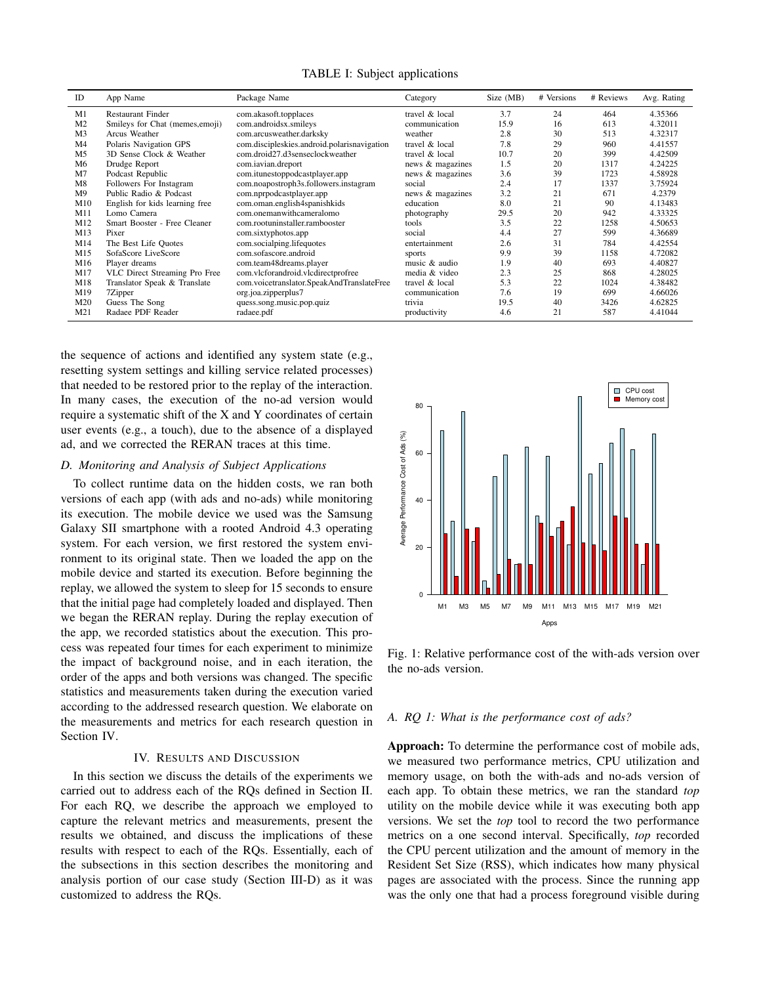# TABLE I: Subject applications

| ID             | App Name                        | Package Name                                | Category         | Size (MB) | # Versions | # Reviews | Avg. Rating |
|----------------|---------------------------------|---------------------------------------------|------------------|-----------|------------|-----------|-------------|
| M1             | <b>Restaurant Finder</b>        | com.akasoft.topplaces                       | travel & local   | 3.7       | 24         | 464       | 4.35366     |
| M <sub>2</sub> | Smileys for Chat (memes, emoji) | com.androidsx.smileys                       | communication    | 15.9      | 16         | 613       | 4.32011     |
| M <sub>3</sub> | Arcus Weather                   | com.arcusweather.darksky                    | weather          | 2.8       | 30         | 513       | 4.32317     |
| M <sub>4</sub> | Polaris Navigation GPS          | com.discipleskies.android.polarisnavigation | travel & local   | 7.8       | 29         | 960       | 4.41557     |
| M <sub>5</sub> | 3D Sense Clock & Weather        | com.droid27.d3senseclockweather             | travel & local   | 10.7      | 20         | 399       | 4.42509     |
| M <sub>6</sub> | Drudge Report                   | com.iavian.dreport                          | news & magazines | 1.5       | 20         | 1317      | 4.24225     |
| M <sub>7</sub> | Podcast Republic                | com.itunestoppodcastplayer.app              | news & magazines | 3.6       | 39         | 1723      | 4.58928     |
| M8             | Followers For Instagram         | com.noapostroph3s.followers.instagram       | social           | 2.4       | 17         | 1337      | 3.75924     |
| M <sub>9</sub> | Public Radio & Podcast          | com.nprpodcastplayer.app                    | news & magazines | 3.2       | 21         | 671       | 4.2379      |
| M10            | English for kids learning free  | com.oman.english4spanishkids                | education        | 8.0       | 21         | 90        | 4.13483     |
| M11            | Lomo Camera                     | com.onemanwithcameralomo                    | photography      | 29.5      | 20         | 942       | 4.33325     |
| M12            | Smart Booster - Free Cleaner    | com.rootuninstaller.rambooster              | tools            | 3.5       | 22         | 1258      | 4.50653     |
| M13            | Pixer                           | com.sixtyphotos.app                         | social           | 4.4       | 27         | 599       | 4.36689     |
| M14            | The Best Life Quotes            | com.socialping.lifequotes                   | entertainment    | 2.6       | 31         | 784       | 4.42554     |
| M15            | SofaScore LiveScore             | com.sofascore.android                       | sports           | 9.9       | 39         | 1158      | 4.72082     |
| M16            | Player dreams                   | com.team48dreams.player                     | music & audio    | 1.9       | 40         | 693       | 4.40827     |
| M17            | VLC Direct Streaming Pro Free   | com.vlcforandroid.vlcdirectprofree          | media & video    | 2.3       | 25         | 868       | 4.28025     |
| M18            | Translator Speak & Translate    | com.voicetranslator.SpeakAndTranslateFree   | travel & local   | 5.3       | 22         | 1024      | 4.38482     |
| M19            | 7Zipper                         | org.joa.zipperplus7                         | communication    | 7.6       | 19         | 699       | 4.66026     |
| M20            | Guess The Song                  | quess.song.music.pop.quiz                   | trivia           | 19.5      | 40         | 3426      | 4.62825     |
| M21            | Radaee PDF Reader               | radaee.pdf                                  | productivity     | 4.6       | 21         | 587       | 4.41044     |

the sequence of actions and identified any system state (e.g., resetting system settings and killing service related processes) that needed to be restored prior to the replay of the interaction. In many cases, the execution of the no-ad version would require a systematic shift of the X and Y coordinates of certain user events (e.g., a touch), due to the absence of a displayed ad, and we corrected the RERAN traces at this time.

# *D. Monitoring and Analysis of Subject Applications*

To collect runtime data on the hidden costs, we ran both versions of each app (with ads and no-ads) while monitoring its execution. The mobile device we used was the Samsung Galaxy SII smartphone with a rooted Android 4.3 operating system. For each version, we first restored the system environment to its original state. Then we loaded the app on the mobile device and started its execution. Before beginning the replay, we allowed the system to sleep for 15 seconds to ensure that the initial page had completely loaded and displayed. Then we began the RERAN replay. During the replay execution of the app, we recorded statistics about the execution. This process was repeated four times for each experiment to minimize the impact of background noise, and in each iteration, the order of the apps and both versions was changed. The specific statistics and measurements taken during the execution varied according to the addressed research question. We elaborate on the measurements and metrics for each research question in Section IV.

# IV. RESULTS AND DISCUSSION

In this section we discuss the details of the experiments we carried out to address each of the RQs defined in Section II. For each RQ, we describe the approach we employed to capture the relevant metrics and measurements, present the results we obtained, and discuss the implications of these results with respect to each of the RQs. Essentially, each of the subsections in this section describes the monitoring and analysis portion of our case study (Section III-D) as it was customized to address the RQs.



Fig. 1: Relative performance cost of the with-ads version over the no-ads version.

# *A. RQ 1: What is the performance cost of ads?*

Approach: To determine the performance cost of mobile ads, we measured two performance metrics, CPU utilization and memory usage, on both the with-ads and no-ads version of each app. To obtain these metrics, we ran the standard *top* utility on the mobile device while it was executing both app versions. We set the *top* tool to record the two performance metrics on a one second interval. Specifically, *top* recorded the CPU percent utilization and the amount of memory in the Resident Set Size (RSS), which indicates how many physical pages are associated with the process. Since the running app was the only one that had a process foreground visible during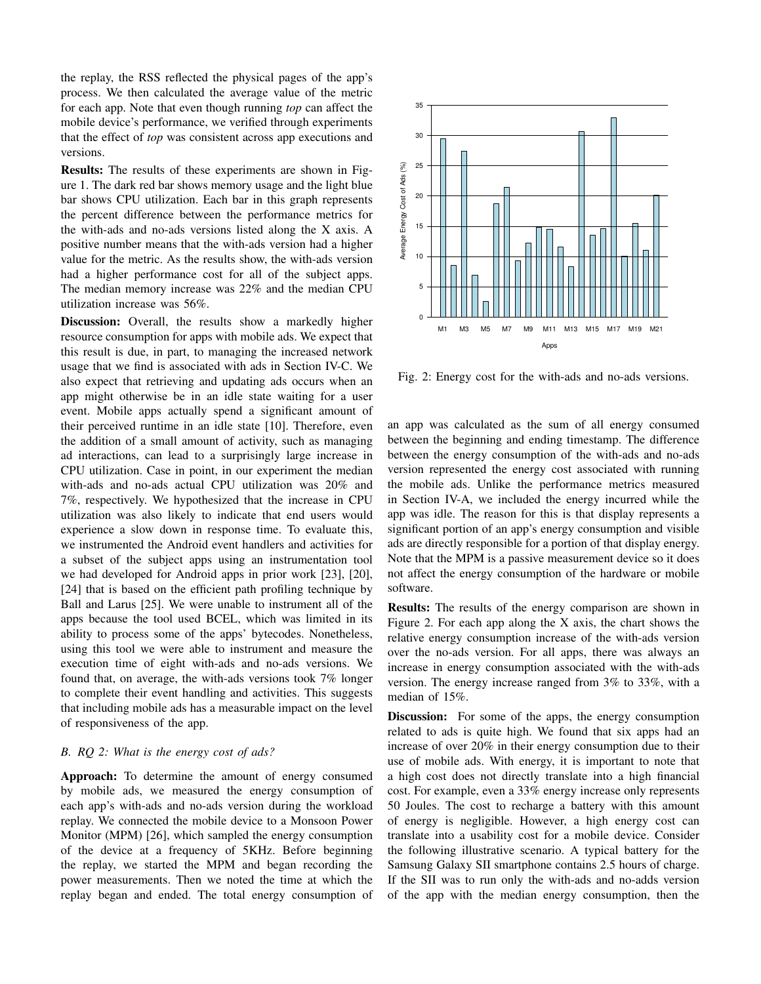the replay, the RSS reflected the physical pages of the app's process. We then calculated the average value of the metric for each app. Note that even though running *top* can affect the mobile device's performance, we verified through experiments that the effect of *top* was consistent across app executions and versions.

Results: The results of these experiments are shown in Figure 1. The dark red bar shows memory usage and the light blue bar shows CPU utilization. Each bar in this graph represents the percent difference between the performance metrics for the with-ads and no-ads versions listed along the X axis. A positive number means that the with-ads version had a higher value for the metric. As the results show, the with-ads version had a higher performance cost for all of the subject apps. The median memory increase was 22% and the median CPU utilization increase was 56%.

Discussion: Overall, the results show a markedly higher resource consumption for apps with mobile ads. We expect that this result is due, in part, to managing the increased network usage that we find is associated with ads in Section IV-C. We also expect that retrieving and updating ads occurs when an app might otherwise be in an idle state waiting for a user event. Mobile apps actually spend a significant amount of their perceived runtime in an idle state [10]. Therefore, even the addition of a small amount of activity, such as managing ad interactions, can lead to a surprisingly large increase in CPU utilization. Case in point, in our experiment the median with-ads and no-ads actual CPU utilization was 20% and 7%, respectively. We hypothesized that the increase in CPU utilization was also likely to indicate that end users would experience a slow down in response time. To evaluate this, we instrumented the Android event handlers and activities for a subset of the subject apps using an instrumentation tool we had developed for Android apps in prior work [23], [20], [24] that is based on the efficient path profiling technique by Ball and Larus [25]. We were unable to instrument all of the apps because the tool used BCEL, which was limited in its ability to process some of the apps' bytecodes. Nonetheless, using this tool we were able to instrument and measure the execution time of eight with-ads and no-ads versions. We found that, on average, the with-ads versions took 7% longer to complete their event handling and activities. This suggests that including mobile ads has a measurable impact on the level of responsiveness of the app.

# *B. RQ 2: What is the energy cost of ads?*

Approach: To determine the amount of energy consumed by mobile ads, we measured the energy consumption of each app's with-ads and no-ads version during the workload replay. We connected the mobile device to a Monsoon Power Monitor (MPM) [26], which sampled the energy consumption of the device at a frequency of 5KHz. Before beginning the replay, we started the MPM and began recording the power measurements. Then we noted the time at which the replay began and ended. The total energy consumption of



Fig. 2: Energy cost for the with-ads and no-ads versions.

an app was calculated as the sum of all energy consumed between the beginning and ending timestamp. The difference between the energy consumption of the with-ads and no-ads version represented the energy cost associated with running the mobile ads. Unlike the performance metrics measured in Section IV-A, we included the energy incurred while the app was idle. The reason for this is that display represents a significant portion of an app's energy consumption and visible ads are directly responsible for a portion of that display energy. Note that the MPM is a passive measurement device so it does not affect the energy consumption of the hardware or mobile software.

Results: The results of the energy comparison are shown in Figure 2. For each app along the X axis, the chart shows the relative energy consumption increase of the with-ads version over the no-ads version. For all apps, there was always an increase in energy consumption associated with the with-ads version. The energy increase ranged from 3% to 33%, with a median of 15%.

Discussion: For some of the apps, the energy consumption related to ads is quite high. We found that six apps had an increase of over 20% in their energy consumption due to their use of mobile ads. With energy, it is important to note that a high cost does not directly translate into a high financial cost. For example, even a 33% energy increase only represents 50 Joules. The cost to recharge a battery with this amount of energy is negligible. However, a high energy cost can translate into a usability cost for a mobile device. Consider the following illustrative scenario. A typical battery for the Samsung Galaxy SII smartphone contains 2.5 hours of charge. If the SII was to run only the with-ads and no-adds version of the app with the median energy consumption, then the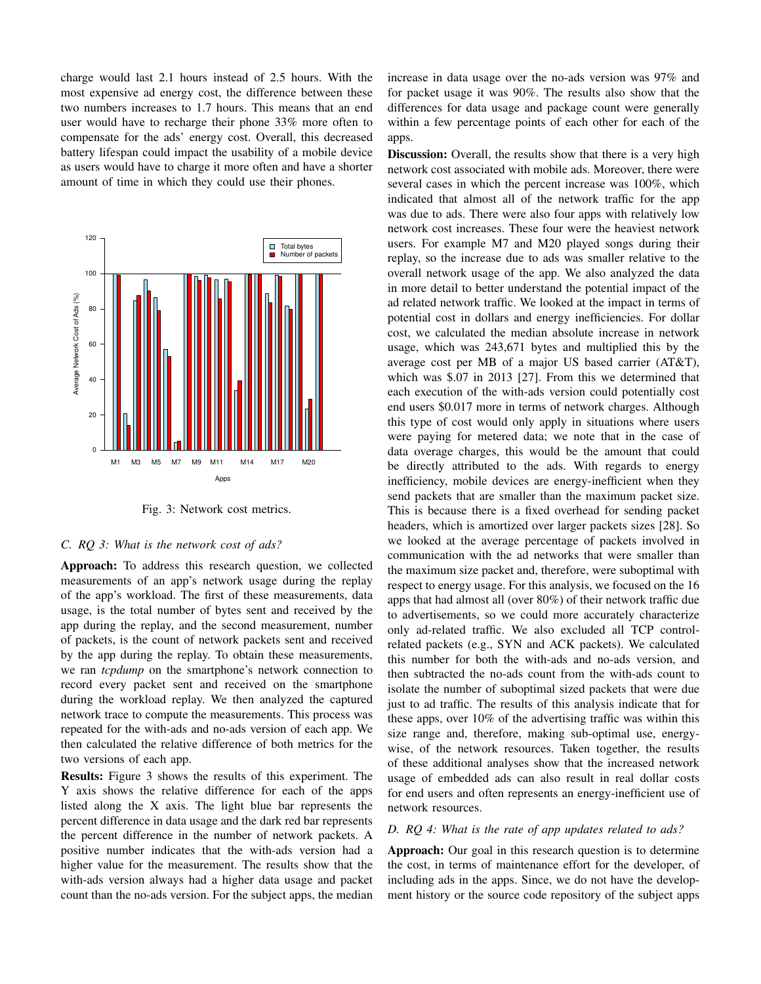charge would last 2.1 hours instead of 2.5 hours. With the most expensive ad energy cost, the difference between these two numbers increases to 1.7 hours. This means that an end user would have to recharge their phone 33% more often to compensate for the ads' energy cost. Overall, this decreased battery lifespan could impact the usability of a mobile device as users would have to charge it more often and have a shorter amount of time in which they could use their phones.



Fig. 3: Network cost metrics.

# *C. RQ 3: What is the network cost of ads?*

Approach: To address this research question, we collected measurements of an app's network usage during the replay of the app's workload. The first of these measurements, data usage, is the total number of bytes sent and received by the app during the replay, and the second measurement, number of packets, is the count of network packets sent and received by the app during the replay. To obtain these measurements, we ran *tcpdump* on the smartphone's network connection to record every packet sent and received on the smartphone during the workload replay. We then analyzed the captured network trace to compute the measurements. This process was repeated for the with-ads and no-ads version of each app. We then calculated the relative difference of both metrics for the two versions of each app.

Results: Figure 3 shows the results of this experiment. The Y axis shows the relative difference for each of the apps listed along the X axis. The light blue bar represents the percent difference in data usage and the dark red bar represents the percent difference in the number of network packets. A positive number indicates that the with-ads version had a higher value for the measurement. The results show that the with-ads version always had a higher data usage and packet count than the no-ads version. For the subject apps, the median increase in data usage over the no-ads version was 97% and for packet usage it was 90%. The results also show that the differences for data usage and package count were generally within a few percentage points of each other for each of the apps.

Discussion: Overall, the results show that there is a very high network cost associated with mobile ads. Moreover, there were several cases in which the percent increase was 100%, which indicated that almost all of the network traffic for the app was due to ads. There were also four apps with relatively low network cost increases. These four were the heaviest network users. For example M7 and M20 played songs during their replay, so the increase due to ads was smaller relative to the overall network usage of the app. We also analyzed the data in more detail to better understand the potential impact of the ad related network traffic. We looked at the impact in terms of potential cost in dollars and energy inefficiencies. For dollar cost, we calculated the median absolute increase in network usage, which was 243,671 bytes and multiplied this by the average cost per MB of a major US based carrier (AT&T), which was \$.07 in 2013 [27]. From this we determined that each execution of the with-ads version could potentially cost end users \$0.017 more in terms of network charges. Although this type of cost would only apply in situations where users were paying for metered data; we note that in the case of data overage charges, this would be the amount that could be directly attributed to the ads. With regards to energy inefficiency, mobile devices are energy-inefficient when they send packets that are smaller than the maximum packet size. This is because there is a fixed overhead for sending packet headers, which is amortized over larger packets sizes [28]. So we looked at the average percentage of packets involved in communication with the ad networks that were smaller than the maximum size packet and, therefore, were suboptimal with respect to energy usage. For this analysis, we focused on the 16 apps that had almost all (over 80%) of their network traffic due to advertisements, so we could more accurately characterize only ad-related traffic. We also excluded all TCP controlrelated packets (e.g., SYN and ACK packets). We calculated this number for both the with-ads and no-ads version, and then subtracted the no-ads count from the with-ads count to isolate the number of suboptimal sized packets that were due just to ad traffic. The results of this analysis indicate that for these apps, over 10% of the advertising traffic was within this size range and, therefore, making sub-optimal use, energywise, of the network resources. Taken together, the results of these additional analyses show that the increased network usage of embedded ads can also result in real dollar costs for end users and often represents an energy-inefficient use of network resources.

#### *D. RQ 4: What is the rate of app updates related to ads?*

Approach: Our goal in this research question is to determine the cost, in terms of maintenance effort for the developer, of including ads in the apps. Since, we do not have the development history or the source code repository of the subject apps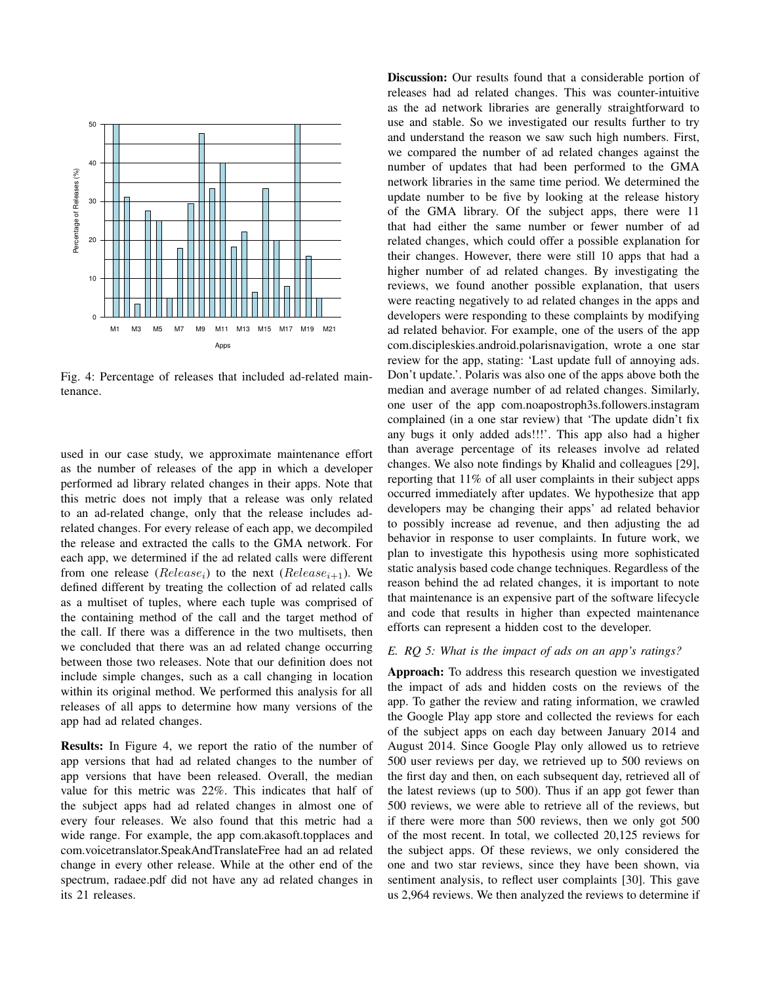

Fig. 4: Percentage of releases that included ad-related maintenance.

used in our case study, we approximate maintenance effort as the number of releases of the app in which a developer performed ad library related changes in their apps. Note that this metric does not imply that a release was only related to an ad-related change, only that the release includes adrelated changes. For every release of each app, we decompiled the release and extracted the calls to the GMA network. For each app, we determined if the ad related calls were different from one release ( $Release_i$ ) to the next ( $Release_{i+1}$ ). We defined different by treating the collection of ad related calls as a multiset of tuples, where each tuple was comprised of the containing method of the call and the target method of the call. If there was a difference in the two multisets, then we concluded that there was an ad related change occurring between those two releases. Note that our definition does not include simple changes, such as a call changing in location within its original method. We performed this analysis for all releases of all apps to determine how many versions of the app had ad related changes.

Results: In Figure 4, we report the ratio of the number of app versions that had ad related changes to the number of app versions that have been released. Overall, the median value for this metric was 22%. This indicates that half of the subject apps had ad related changes in almost one of every four releases. We also found that this metric had a wide range. For example, the app com.akasoft.topplaces and com.voicetranslator.SpeakAndTranslateFree had an ad related change in every other release. While at the other end of the spectrum, radaee.pdf did not have any ad related changes in its 21 releases.

Discussion: Our results found that a considerable portion of releases had ad related changes. This was counter-intuitive as the ad network libraries are generally straightforward to use and stable. So we investigated our results further to try and understand the reason we saw such high numbers. First, we compared the number of ad related changes against the number of updates that had been performed to the GMA network libraries in the same time period. We determined the update number to be five by looking at the release history of the GMA library. Of the subject apps, there were 11 that had either the same number or fewer number of ad related changes, which could offer a possible explanation for their changes. However, there were still 10 apps that had a higher number of ad related changes. By investigating the reviews, we found another possible explanation, that users were reacting negatively to ad related changes in the apps and developers were responding to these complaints by modifying ad related behavior. For example, one of the users of the app com.discipleskies.android.polarisnavigation, wrote a one star review for the app, stating: 'Last update full of annoying ads. Don't update.'. Polaris was also one of the apps above both the median and average number of ad related changes. Similarly, one user of the app com.noapostroph3s.followers.instagram complained (in a one star review) that 'The update didn't fix any bugs it only added ads!!!'. This app also had a higher than average percentage of its releases involve ad related changes. We also note findings by Khalid and colleagues [29], reporting that 11% of all user complaints in their subject apps occurred immediately after updates. We hypothesize that app developers may be changing their apps' ad related behavior to possibly increase ad revenue, and then adjusting the ad behavior in response to user complaints. In future work, we plan to investigate this hypothesis using more sophisticated static analysis based code change techniques. Regardless of the reason behind the ad related changes, it is important to note that maintenance is an expensive part of the software lifecycle and code that results in higher than expected maintenance efforts can represent a hidden cost to the developer.

# *E. RQ 5: What is the impact of ads on an app's ratings?*

Approach: To address this research question we investigated the impact of ads and hidden costs on the reviews of the app. To gather the review and rating information, we crawled the Google Play app store and collected the reviews for each of the subject apps on each day between January 2014 and August 2014. Since Google Play only allowed us to retrieve 500 user reviews per day, we retrieved up to 500 reviews on the first day and then, on each subsequent day, retrieved all of the latest reviews (up to 500). Thus if an app got fewer than 500 reviews, we were able to retrieve all of the reviews, but if there were more than 500 reviews, then we only got 500 of the most recent. In total, we collected 20,125 reviews for the subject apps. Of these reviews, we only considered the one and two star reviews, since they have been shown, via sentiment analysis, to reflect user complaints [30]. This gave us 2,964 reviews. We then analyzed the reviews to determine if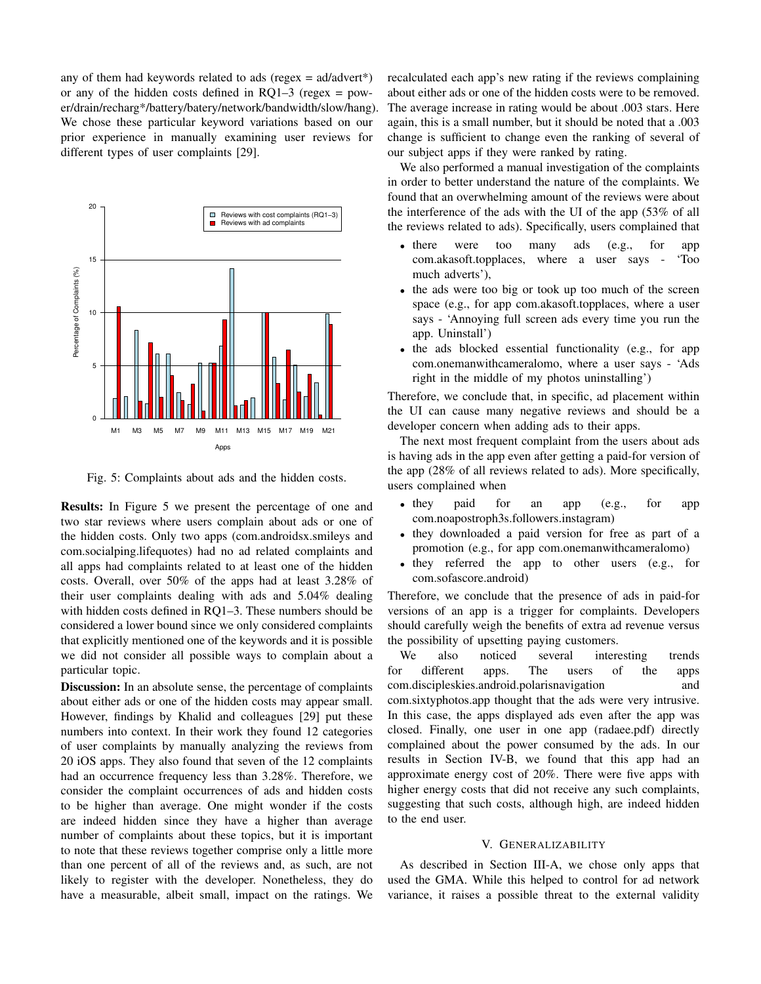any of them had keywords related to ads (regex  $=$  ad/advert\*) or any of the hidden costs defined in  $RQ1-3$  (regex = power/drain/recharg\*/battery/batery/network/bandwidth/slow/hang). We chose these particular keyword variations based on our prior experience in manually examining user reviews for different types of user complaints [29].



Fig. 5: Complaints about ads and the hidden costs.

Results: In Figure 5 we present the percentage of one and two star reviews where users complain about ads or one of the hidden costs. Only two apps (com.androidsx.smileys and com.socialping.lifequotes) had no ad related complaints and all apps had complaints related to at least one of the hidden costs. Overall, over 50% of the apps had at least 3.28% of their user complaints dealing with ads and 5.04% dealing with hidden costs defined in RQ1–3. These numbers should be considered a lower bound since we only considered complaints that explicitly mentioned one of the keywords and it is possible we did not consider all possible ways to complain about a particular topic.

Discussion: In an absolute sense, the percentage of complaints about either ads or one of the hidden costs may appear small. However, findings by Khalid and colleagues [29] put these numbers into context. In their work they found 12 categories of user complaints by manually analyzing the reviews from 20 iOS apps. They also found that seven of the 12 complaints had an occurrence frequency less than 3.28%. Therefore, we consider the complaint occurrences of ads and hidden costs to be higher than average. One might wonder if the costs are indeed hidden since they have a higher than average number of complaints about these topics, but it is important to note that these reviews together comprise only a little more than one percent of all of the reviews and, as such, are not likely to register with the developer. Nonetheless, they do have a measurable, albeit small, impact on the ratings. We

recalculated each app's new rating if the reviews complaining about either ads or one of the hidden costs were to be removed. The average increase in rating would be about .003 stars. Here again, this is a small number, but it should be noted that a .003 change is sufficient to change even the ranking of several of our subject apps if they were ranked by rating.

We also performed a manual investigation of the complaints in order to better understand the nature of the complaints. We found that an overwhelming amount of the reviews were about the interference of the ads with the UI of the app (53% of all the reviews related to ads). Specifically, users complained that

- there were too many ads (e.g., for app com.akasoft.topplaces, where a user says - 'Too much adverts'),
- the ads were too big or took up too much of the screen space (e.g., for app com.akasoft.topplaces, where a user says - 'Annoying full screen ads every time you run the app. Uninstall')
- the ads blocked essential functionality (e.g., for app com.onemanwithcameralomo, where a user says - 'Ads right in the middle of my photos uninstalling')

Therefore, we conclude that, in specific, ad placement within the UI can cause many negative reviews and should be a developer concern when adding ads to their apps.

The next most frequent complaint from the users about ads is having ads in the app even after getting a paid-for version of the app (28% of all reviews related to ads). More specifically, users complained when

- they paid for an app (e.g., for app com.noapostroph3s.followers.instagram)
- they downloaded a paid version for free as part of a promotion (e.g., for app com.onemanwithcameralomo)
- they referred the app to other users (e.g., for com.sofascore.android)

Therefore, we conclude that the presence of ads in paid-for versions of an app is a trigger for complaints. Developers should carefully weigh the benefits of extra ad revenue versus the possibility of upsetting paying customers.

We also noticed several interesting trends for different apps. The users of the apps com.discipleskies.android.polarisnavigation and com.sixtyphotos.app thought that the ads were very intrusive. In this case, the apps displayed ads even after the app was closed. Finally, one user in one app (radaee.pdf) directly complained about the power consumed by the ads. In our results in Section IV-B, we found that this app had an approximate energy cost of 20%. There were five apps with higher energy costs that did not receive any such complaints, suggesting that such costs, although high, are indeed hidden to the end user.

# V. GENERALIZABILITY

As described in Section III-A, we chose only apps that used the GMA. While this helped to control for ad network variance, it raises a possible threat to the external validity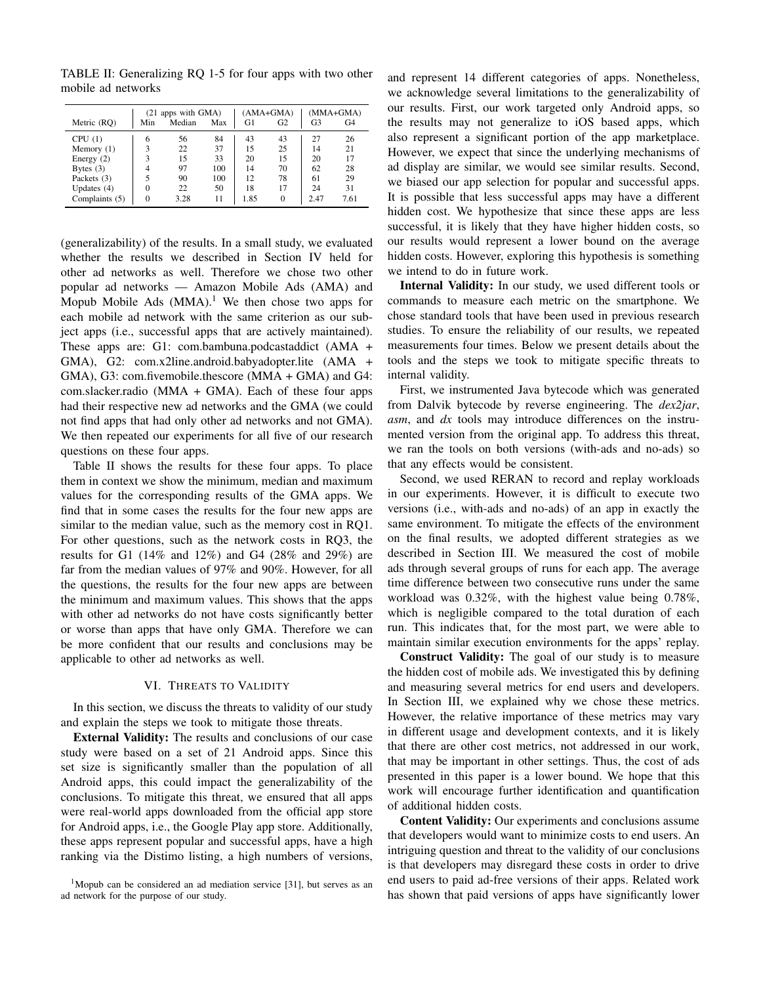TABLE II: Generalizing RQ 1-5 for four apps with two other mobile ad networks

|                | $(21$ apps with GMA) |        |     | $(AMA+GMA)$ |          | $(MMA+GMA)$    |                |
|----------------|----------------------|--------|-----|-------------|----------|----------------|----------------|
| Metric (RO)    | Min                  | Median | Max | G1          | G2       | G <sub>3</sub> | G <sub>4</sub> |
| CPU(1)         | 6                    | 56     | 84  | 43          | 43       | 27             | 26             |
| Memory $(1)$   | 3                    | 22     | 37  | 15          | 25       | 14             | 21             |
| Energy $(2)$   | 3                    | 15     | 33  | 20          | 15       | 20             | 17             |
| Bytes $(3)$    | $\overline{4}$       | 97     | 100 | 14          | 70       | 62             | 28             |
| Packets (3)    | 5                    | 90     | 100 | 12          | 78       | 61             | 29             |
| Updates $(4)$  | $\theta$             | 22     | 50  | 18          | 17       | 24             | 31             |
| Complaints (5) | $\theta$             | 3.28   | 11  | 1.85        | $\Omega$ | 2.47           | 7.61           |

(generalizability) of the results. In a small study, we evaluated whether the results we described in Section IV held for other ad networks as well. Therefore we chose two other popular ad networks — Amazon Mobile Ads (AMA) and Mopub Mobile Ads  $(MMA)$ <sup>1</sup>. We then chose two apps for each mobile ad network with the same criterion as our subject apps (i.e., successful apps that are actively maintained). These apps are: G1: com.bambuna.podcastaddict (AMA + GMA), G2: com.x2line.android.babyadopter.lite (AMA + GMA), G3: com.fivemobile.thescore (MMA + GMA) and G4: com.slacker.radio (MMA + GMA). Each of these four apps had their respective new ad networks and the GMA (we could not find apps that had only other ad networks and not GMA). We then repeated our experiments for all five of our research questions on these four apps.

Table II shows the results for these four apps. To place them in context we show the minimum, median and maximum values for the corresponding results of the GMA apps. We find that in some cases the results for the four new apps are similar to the median value, such as the memory cost in RQ1. For other questions, such as the network costs in RQ3, the results for G1 (14% and 12%) and G4 (28% and 29%) are far from the median values of 97% and 90%. However, for all the questions, the results for the four new apps are between the minimum and maximum values. This shows that the apps with other ad networks do not have costs significantly better or worse than apps that have only GMA. Therefore we can be more confident that our results and conclusions may be applicable to other ad networks as well.

## VI. THREATS TO VALIDITY

In this section, we discuss the threats to validity of our study and explain the steps we took to mitigate those threats.

External Validity: The results and conclusions of our case study were based on a set of 21 Android apps. Since this set size is significantly smaller than the population of all Android apps, this could impact the generalizability of the conclusions. To mitigate this threat, we ensured that all apps were real-world apps downloaded from the official app store for Android apps, i.e., the Google Play app store. Additionally, these apps represent popular and successful apps, have a high ranking via the Distimo listing, a high numbers of versions, and represent 14 different categories of apps. Nonetheless, we acknowledge several limitations to the generalizability of our results. First, our work targeted only Android apps, so the results may not generalize to iOS based apps, which also represent a significant portion of the app marketplace. However, we expect that since the underlying mechanisms of ad display are similar, we would see similar results. Second, we biased our app selection for popular and successful apps. It is possible that less successful apps may have a different hidden cost. We hypothesize that since these apps are less successful, it is likely that they have higher hidden costs, so our results would represent a lower bound on the average hidden costs. However, exploring this hypothesis is something we intend to do in future work.

Internal Validity: In our study, we used different tools or commands to measure each metric on the smartphone. We chose standard tools that have been used in previous research studies. To ensure the reliability of our results, we repeated measurements four times. Below we present details about the tools and the steps we took to mitigate specific threats to internal validity.

First, we instrumented Java bytecode which was generated from Dalvik bytecode by reverse engineering. The *dex2jar*, *asm*, and *dx* tools may introduce differences on the instrumented version from the original app. To address this threat, we ran the tools on both versions (with-ads and no-ads) so that any effects would be consistent.

Second, we used RERAN to record and replay workloads in our experiments. However, it is difficult to execute two versions (i.e., with-ads and no-ads) of an app in exactly the same environment. To mitigate the effects of the environment on the final results, we adopted different strategies as we described in Section III. We measured the cost of mobile ads through several groups of runs for each app. The average time difference between two consecutive runs under the same workload was 0.32%, with the highest value being 0.78%, which is negligible compared to the total duration of each run. This indicates that, for the most part, we were able to maintain similar execution environments for the apps' replay.

Construct Validity: The goal of our study is to measure the hidden cost of mobile ads. We investigated this by defining and measuring several metrics for end users and developers. In Section III, we explained why we chose these metrics. However, the relative importance of these metrics may vary in different usage and development contexts, and it is likely that there are other cost metrics, not addressed in our work, that may be important in other settings. Thus, the cost of ads presented in this paper is a lower bound. We hope that this work will encourage further identification and quantification of additional hidden costs.

Content Validity: Our experiments and conclusions assume that developers would want to minimize costs to end users. An intriguing question and threat to the validity of our conclusions is that developers may disregard these costs in order to drive end users to paid ad-free versions of their apps. Related work has shown that paid versions of apps have significantly lower

<sup>1</sup>Mopub can be considered an ad mediation service [31], but serves as an ad network for the purpose of our study.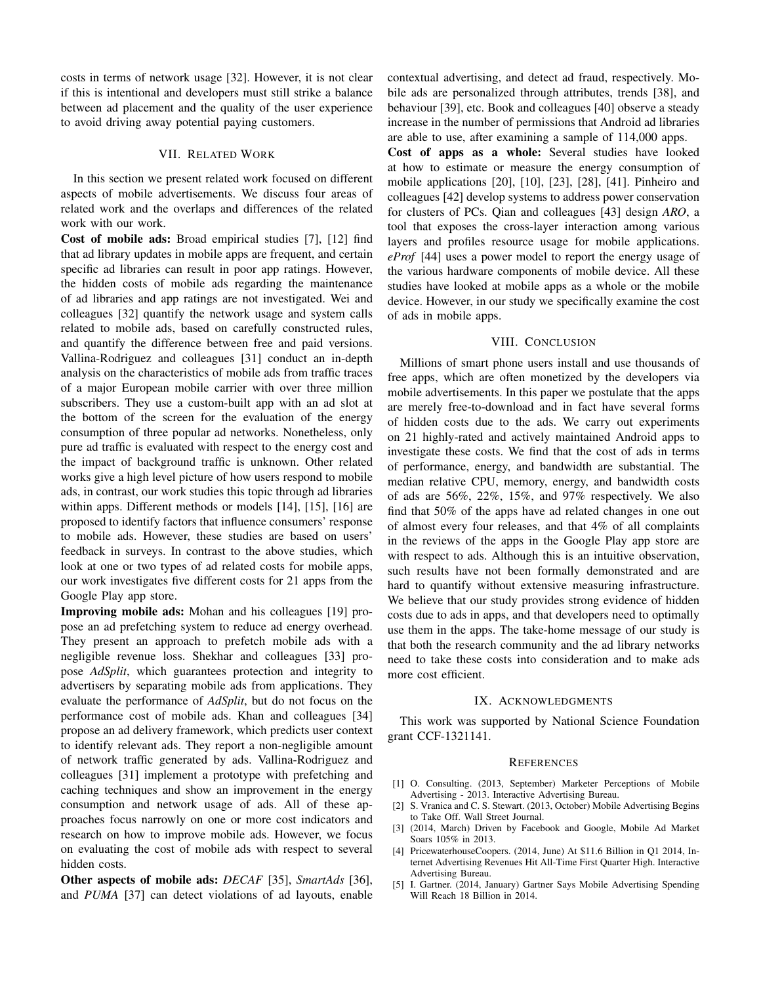costs in terms of network usage [32]. However, it is not clear if this is intentional and developers must still strike a balance between ad placement and the quality of the user experience to avoid driving away potential paying customers.

# VII. RELATED WORK

In this section we present related work focused on different aspects of mobile advertisements. We discuss four areas of related work and the overlaps and differences of the related work with our work.

Cost of mobile ads: Broad empirical studies [7], [12] find that ad library updates in mobile apps are frequent, and certain specific ad libraries can result in poor app ratings. However, the hidden costs of mobile ads regarding the maintenance of ad libraries and app ratings are not investigated. Wei and colleagues [32] quantify the network usage and system calls related to mobile ads, based on carefully constructed rules, and quantify the difference between free and paid versions. Vallina-Rodriguez and colleagues [31] conduct an in-depth analysis on the characteristics of mobile ads from traffic traces of a major European mobile carrier with over three million subscribers. They use a custom-built app with an ad slot at the bottom of the screen for the evaluation of the energy consumption of three popular ad networks. Nonetheless, only pure ad traffic is evaluated with respect to the energy cost and the impact of background traffic is unknown. Other related works give a high level picture of how users respond to mobile ads, in contrast, our work studies this topic through ad libraries within apps. Different methods or models [14], [15], [16] are proposed to identify factors that influence consumers' response to mobile ads. However, these studies are based on users' feedback in surveys. In contrast to the above studies, which look at one or two types of ad related costs for mobile apps, our work investigates five different costs for 21 apps from the Google Play app store.

Improving mobile ads: Mohan and his colleagues [19] propose an ad prefetching system to reduce ad energy overhead. They present an approach to prefetch mobile ads with a negligible revenue loss. Shekhar and colleagues [33] propose *AdSplit*, which guarantees protection and integrity to advertisers by separating mobile ads from applications. They evaluate the performance of *AdSplit*, but do not focus on the performance cost of mobile ads. Khan and colleagues [34] propose an ad delivery framework, which predicts user context to identify relevant ads. They report a non-negligible amount of network traffic generated by ads. Vallina-Rodriguez and colleagues [31] implement a prototype with prefetching and caching techniques and show an improvement in the energy consumption and network usage of ads. All of these approaches focus narrowly on one or more cost indicators and research on how to improve mobile ads. However, we focus on evaluating the cost of mobile ads with respect to several hidden costs.

Other aspects of mobile ads: *DECAF* [35], *SmartAds* [36], and *PUMA* [37] can detect violations of ad layouts, enable contextual advertising, and detect ad fraud, respectively. Mobile ads are personalized through attributes, trends [38], and behaviour [39], etc. Book and colleagues [40] observe a steady increase in the number of permissions that Android ad libraries are able to use, after examining a sample of 114,000 apps.

Cost of apps as a whole: Several studies have looked at how to estimate or measure the energy consumption of mobile applications [20], [10], [23], [28], [41]. Pinheiro and colleagues [42] develop systems to address power conservation for clusters of PCs. Qian and colleagues [43] design *ARO*, a tool that exposes the cross-layer interaction among various layers and profiles resource usage for mobile applications. *eProf* [44] uses a power model to report the energy usage of the various hardware components of mobile device. All these studies have looked at mobile apps as a whole or the mobile device. However, in our study we specifically examine the cost of ads in mobile apps.

# VIII. CONCLUSION

Millions of smart phone users install and use thousands of free apps, which are often monetized by the developers via mobile advertisements. In this paper we postulate that the apps are merely free-to-download and in fact have several forms of hidden costs due to the ads. We carry out experiments on 21 highly-rated and actively maintained Android apps to investigate these costs. We find that the cost of ads in terms of performance, energy, and bandwidth are substantial. The median relative CPU, memory, energy, and bandwidth costs of ads are 56%, 22%, 15%, and 97% respectively. We also find that 50% of the apps have ad related changes in one out of almost every four releases, and that 4% of all complaints in the reviews of the apps in the Google Play app store are with respect to ads. Although this is an intuitive observation, such results have not been formally demonstrated and are hard to quantify without extensive measuring infrastructure. We believe that our study provides strong evidence of hidden costs due to ads in apps, and that developers need to optimally use them in the apps. The take-home message of our study is that both the research community and the ad library networks need to take these costs into consideration and to make ads more cost efficient.

### IX. ACKNOWLEDGMENTS

This work was supported by National Science Foundation grant CCF-1321141.

#### **REFERENCES**

- [1] O. Consulting. (2013, September) Marketer Perceptions of Mobile Advertising - 2013. Interactive Advertising Bureau.
- [2] S. Vranica and C. S. Stewart. (2013, October) Mobile Advertising Begins to Take Off. Wall Street Journal.
- [3] (2014, March) Driven by Facebook and Google, Mobile Ad Market Soars 105% in 2013.
- [4] PricewaterhouseCoopers. (2014, June) At \$11.6 Billion in Q1 2014, Internet Advertising Revenues Hit All-Time First Quarter High. Interactive Advertising Bureau.
- [5] I. Gartner. (2014, January) Gartner Says Mobile Advertising Spending Will Reach 18 Billion in 2014.